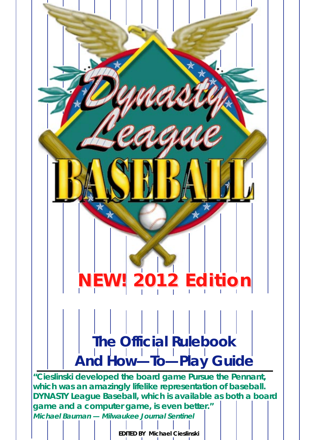# **NEW! 2012 Edition NEW! 2012 Edition The Official Rulebook And How—To—Play Guide "Cieslinski developed the board game Pursue the Pennant, which was an amazingly lifelike representation of baseball.**

**DYNASTY League Baseball, which is available as both a board game and a computer game, is even better." Michael Bauman — Milwaukee Journal Sentinel**

**EDITED BY Michael Cieslinski**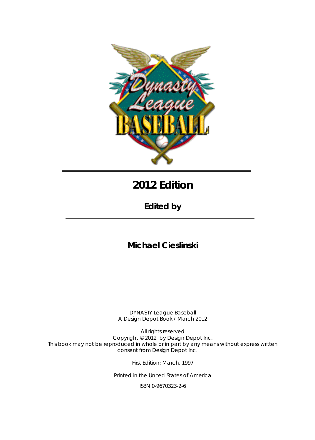

# **2012 Edition**

**Edited by**

## **Michael Cieslinski**

DYNASTY League Baseball A Design Depot Book / March 2012

All rights reserved Copyright © 2012 by Design Depot Inc. This book may not be reproduced in whole or in part by any means without express written consent from Design Depot Inc.

First Edition: March, 1997

Printed in the United States of America

ISBN 0-9670323-2-6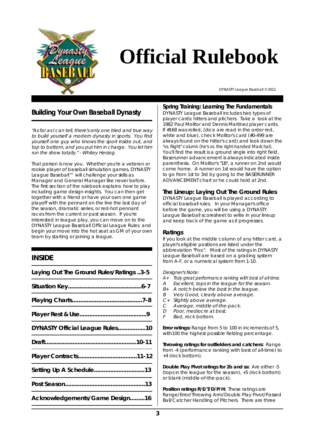

# **Official Rulebook**

DYNASTY League Baseball © 2012

### **Building Your Own Baseball Dynasty**

"As far as I can tell, there's only one tried and true way to build yourself a modern dynasty in sports. You find yourself one guy who knows the sport inside out, and top to bottom, and you put him in charge. You let him run the show totally." - Whitey Herzog.

That person is now you. Whether you're a veteran or rookie player of baseball simulation games, DYNASTY League Baseball™ will challenge your skills as Manager and General Manager like never before. The first section of the rulebook explains how to play including game design insights. You can then get together with a friend or have your own one game playoff with the pennant on the line the last day of the season, dramatic series, or red-hot pennant races from the current or past season. If you're interested in league play, you can move on to the DYNASTY League Baseball Official League Rules and begin your move into the hot seat as GM of your own team by starting or joining a league.

#### **INSIDE**

| Laying Out The Ground Rules/Ratings 3-5 |
|-----------------------------------------|
|                                         |
|                                         |
|                                         |
| DYNASTY Official League Rules10         |
|                                         |
|                                         |
| Setting Up A Schedule13                 |
|                                         |
| Acknowledgements/Game Design16          |

#### **Spring Training: Learning The Fundamentals**

DYNASTY League Baseball includes two types of player cards: hitters and pitchers. Take a look at the 1982 Paul Molitor and Dennis Martinez player cards. If #168 was rolled, (dice are read in the order red, white and blue), check Molitor's card (#0-499 are always found on the hitter's card) and look down the "vs. Right" column (he's vs. the right-handed Marichal). You'll find the result is a ground single into right field. Baserunner advancement is always indicated inside parenthesis. On Molitor's "1B", a runner on 2nd would come home. A runner on 1st would have the option to go from 1st to 3rd by going to the BASERUNNER ADVANCEMENT chart or he could hold at 2nd.

#### **The Lineup: Laying Out The Ground Rules**

DYNASTY League Baseball is played according to official baseball rules. In your Manager's office before the game, you will be using a DYNASTY League Baseball scoresheet to write in your lineup and keep track of the game as it progresses.

#### **Ratings**

If you look at the middle column of any hitter card, a player's eligible positions are listed under the abbreviation "Pos:". Most of the ratings in DYNASTY League Baseball are based on a grading system from A-F, or a numerical system from 1-10.

Designer's Note:

- $A+$  Truly great performance ranking with best of all-time.<br>A Excellent tons in the league for the season
- Excellent, tops in the league for the season.
- $B<sub>+</sub>$  A notch below the best in the league.
- B Very Good, clearly above average.
- C+ Slightly above average.
- C Average, middle-of-the-pack.
- D Poor, mediocre at best.
- F Bad, rock bottom.

**Error ratings:** Range from 5 to 100 in increments of 5, with100 the highest possible fielding percentage.

**Throwing ratings for outfielders and catchers:** Range from -4 (performance ranking with best of all-time) to +4 (rock bottom).

**Double Play Pivot ratings for 2b and ss:** Are either -5 (tops in the league for the season), +5 (rock bottom) or blank (middle-of-the-pack).

**Position ratings R/E/T/D/P/H:** These ratings are Range/Error/Throwing Arm/Double Play Pivot/Passed Ball/Catcher Handling of Pitchers. There are three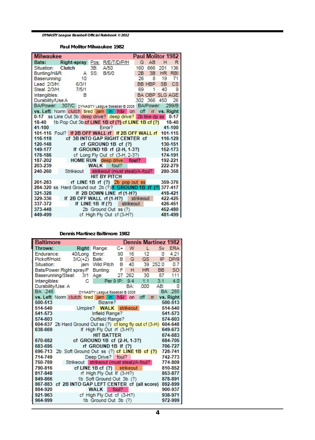**Paul Molitor Milwaukee 1982**

| <b>Milwaukee</b>                                                 |             |                      |                                |     |                | Paul Molitor 1982     |            |
|------------------------------------------------------------------|-------------|----------------------|--------------------------------|-----|----------------|-----------------------|------------|
| Bats:<br>Right-spray Pos:                                        |             | R/E/T/D/P/H          |                                | G   | AB             | н                     | R          |
| Clutch<br>Situation:                                             | 3B:         | A/50                 |                                | 160 | 666            | 201                   | 136        |
| Bunting/H&R:                                                     | A SS:       | B/5/0                |                                | 2B  | 3B             | HR.                   | <b>RBI</b> |
| Baserunning:<br>10                                               |             |                      |                                | 26  | 8              | 19                    | 71         |
| Lead 2/3/H:<br>6/3/1                                             |             |                      |                                |     |                | BB HBP SB             | <b>CS</b>  |
| Steal 2/3/H:<br>7/5/1                                            |             |                      |                                | 69  | 1              | 40                    | 9          |
| Intangibles:<br>B                                                |             |                      |                                |     |                | <b>BA OBP SLG AGE</b> |            |
| Durability/Use:A                                                 |             |                      |                                |     | .302 .366 .450 |                       | 26         |
| BA/Power: .307/C DYNASTY League Baseball @ 2008 BA/Power: .299/B |             |                      |                                |     |                |                       |            |
| vs. Left Norm clutch tired jam in h&r on off m vs. Right         |             |                      |                                |     |                |                       |            |
| 0-17 ss Line Out 3b deep drive? deep drive? 2b line dp ss 0-17   |             |                      |                                |     |                |                       |            |
| 18-40 1b Pop Out 3b cf LINE 1B cf (?) cf LINE 1B cf (?) 18-40    |             |                      |                                |     |                |                       |            |
| 41-100                                                           |             | Error?               |                                |     |                |                       | 41-100     |
| 101-115 Foul? If 2B OFF WALL rf If 2B OFF WALL rf 101-115        |             |                      |                                |     |                |                       |            |
| cf 3B INTO GAP RIGHT CENTER cf<br>116-119                        |             |                      |                                |     |                |                       | 116-129    |
| 120-148                                                          |             |                      | cf GROUND 1B cf (?)            |     |                |                       | 130-151    |
| 149-177                                                          |             |                      | If GROUND 1B rf (2-H, 1-3?)    |     |                |                       | 152-173    |
| 178-186                                                          |             |                      | cf Long Fly Out cf (3-H, 2-3?) |     |                |                       | 174-191    |
| HOME RUN deep drive foul?<br>187-202                             |             |                      |                                |     |                |                       | 192-221    |
| 203-239                                                          | <b>WALK</b> |                      | foul?                          |     |                |                       | 222-279    |
| 240-260<br>Strikeout                                             |             |                      | strikeout (must steal)/A-foul? |     |                |                       | 280-358    |
|                                                                  |             | <b>HIT BY PITCH</b>  |                                |     |                |                       |            |
| rf LINE 1B rf (?) 2b pop out ss<br>261-283                       |             |                      |                                |     |                |                       | 359-376    |
| 284-320 ss Hard Ground out 2b (?) If GROUND 1B rf (?) 377-417    |             |                      |                                |     |                |                       |            |
| 321-328                                                          |             |                      | If 2B DOWN LINE rf (1-H?)      |     |                |                       | 418-421    |
| If 2B OFF WALL rf (1-H?) strikeout<br>329-336                    |             |                      |                                |     |                |                       | 422-425    |
| 337-372                                                          |             |                      | If LINE 1B If (?) strikeout    |     |                |                       | 426-451    |
| 373-448                                                          |             | 2b Ground Out ss (?) |                                |     |                |                       | 452-480    |
| 449-499                                                          |             |                      | cf High Fly Out cf (3-H?)      |     |                |                       | 481-499    |

**Dennis Martinez Baltimore 1982**

| <b>Baltimore</b>  |                                                                                                             |                                          |      |                |           | <b>Dennis Martinez 1982</b> |               |
|-------------------|-------------------------------------------------------------------------------------------------------------|------------------------------------------|------|----------------|-----------|-----------------------------|---------------|
| Throws:           | Right                                                                                                       | Range:                                   | $C+$ | W              | г         | Sv                          | <b>ERA</b>    |
| Endurance:        | 40/Long                                                                                                     | Error:                                   | 90   | 16             | 12        | 0                           | 4.21          |
| Pickoff/Hold:     | $3/C(+2)$                                                                                                   | Balk:                                    |      | B <sub>G</sub> | GS -      | IP.                         | DP/9          |
| Situation:        | iam                                                                                                         | Wild Pitch B                             |      | 40             |           | 39 252.0                    | 0.7           |
|                   | Bats/Power: Right spray/F                                                                                   | Bunting:                                 | F    | н              | <b>HR</b> | BB a                        | <sub>SO</sub> |
|                   | Baserunning/Steal: 3/1                                                                                      | Age:                                     |      | 27 262         | 30        | 87                          | 111           |
| Intangibles:      | С                                                                                                           | Per 9 IP:                                |      | 9.4            | 1.1       | 3.1                         | 4.0           |
| Durability/Use: A |                                                                                                             |                                          |      |                |           | BA: 000 AB:                 | 0             |
| BA: 248           |                                                                                                             | DYNASTY League Baseball @ 2008           |      |                |           |                             | BA: 285       |
|                   | vs. Left Norm clutch tired jam in h&r on                                                                    |                                          |      |                | off       | $\mathsf{r}$                | vs. Right     |
| 500-513           |                                                                                                             | Bizarre?                                 |      |                |           |                             | 500-513       |
| 514-540           |                                                                                                             | Umpire? WALK                             |      | strikeout      |           |                             | 514-540       |
|                   | 541-573<br>541-573<br>Infield Range?                                                                        |                                          |      |                |           |                             |               |
|                   | Outfield Range?<br>574-603<br>574-603<br>604-637 2b Hard Ground Out ss (?) cf long fly out cf (3-H) 604-648 |                                          |      |                |           |                             |               |
| 638-669           |                                                                                                             |                                          |      |                |           |                             | 649-673       |
|                   | If High Fly Out rf (3-H?)<br><b>HIT BATTER</b><br>674-683                                                   |                                          |      |                |           |                             |               |
|                   | cf GROUND 1B cf (2-H, 1-3?)<br>670-682<br>684-705                                                           |                                          |      |                |           |                             |               |
| 683-695           | 706-727<br>rf GROUND 1B If (?)                                                                              |                                          |      |                |           |                             |               |
|                   | 696-713 2b Soft Ground Out ss (?) cf LINE 1B cf (?)                                                         |                                          |      |                |           |                             | 728-741       |
| 714-749           |                                                                                                             | Deep Drive? foul?                        |      |                |           |                             | 742-773       |
| 750-789           |                                                                                                             | Strikeout strikeout (must steal)/A-foul? |      |                |           |                             | 774-809       |
| 790-816           |                                                                                                             | $cf$ LINE 1B $cf$ (?)                    |      | strikeout      |           |                             | 810-852       |
| 817-848           |                                                                                                             | rf High Fly Out If (3-H?)                |      |                |           |                             | 853-877       |
| 849-866           |                                                                                                             | 1b Soft Ground Out 3b (?)                |      |                |           |                             | 878-891       |
|                   | 867-883 cf 2B INTO GAP LEFT CENTER cf (all score)                                                           |                                          |      |                |           |                             | 892-899       |
| 884-920           |                                                                                                             | foul?<br><b>WALK</b>                     |      |                |           |                             | 900-937       |
| 921-963           |                                                                                                             | cf High Fly Out cf (3-H?)                |      |                |           |                             | 938-971       |
| 964-999           |                                                                                                             | 1b Ground Out 3b (?)                     |      |                |           |                             | 972-999       |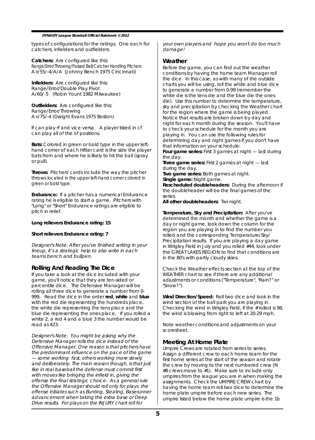types of configurations for the ratings. One each for catchers, infielders and outfielders.

**Catchers:** Are configured like this: Range/Error/Throwing/Passed Ball/Catcher Handling Pitchers A+/55/-4/A/A (Johnny Bench 1975 Cincinnati)

**Infielders:** Are configured like this: Range/Error/Double Play Pivot A/60/-5 (Robin Yount 1982 Milwaukee)

**Outfielders:** Are configured like this: Range/Error/Throwing A+/75/-4 (Dwight Evans 1975 Boston)

lf can play rf and vice versa. A player listed in cf can play all of the of positions.

**Bats:** Colored in green or bold type in the upper lefthand corner of each Hitter card is the side the player bats from and where he is likely to hit the ball (spray or pull).

**Throws:** Pitchers' cards include the way the pitcher throws located in the upper left-hand corner colored in green or bold type.

**Endurance:** If a pitcher has a numerical Endurance rating he is eligible to start a game. Pitchers with "Long" or "Short" Endurance ratings are eligible to pitch in relief.

#### **Long relievers Endurance rating: 15**

#### **Short relievers Endurance rating: 7**

Designer's Note: After you've finished writing in your lineup, it's a strategic help to also write in each teams bench and bullpen.

#### **Rolling And Reading The Dice**

If you take a look at the dice included with your game, you'll notice that they are ten-sided or percentile dice. The Defensive Manager will be rolling all three dice to generate a number from 0- 999. Read the dice in the order **red**, **white** and **blue** with the red die representing the hundreds place, the white die representing the tens place and the blue die representing the ones place. If you rolled a white 2, a red 4 and a blue 3 the number would be read as 423.

Designer's Note: You might be asking why the Defensive Manager rolls the dice instead of the Offensive Manager. One reason is that pitchers have the predominant influence on the pace of the game — some working fast, others working more slowly and deliberately. The main reason though, is that just like in real baseball the defense must commit first with moves like bringing the infield in, giving the offense the final strategic choice. As a general rule the Offensive Manager should roll only for plays the offense initiates such as Bunting, Stealing, Baserunner advancement when taking the extra base or Deep Drive results. For plays on the INJURY chart roll for

your own players and hope you won't do too much damagel

#### **Weather**

Before the game, you can find out the weather conditions by having the home team Manager roll the dice. In this case, as with many of the outside charts you will be using, roll the white and blue dice to generate a number from 0-99 (remember the white die is the tens die and the blue die the ones die). Use this number to determine the temperature, sky and precipitation by checking the Weather chart for the region where the game is being played. Notice that results are broken down by day and night for each month during the season. You'll have to check your schedule for the month you are playing in. You can use the following rules for determining day and night games if you don't have that information on your schedule:

**Four game series:** First 3 games at night — last during the day.

**Three game series:** First 2 games at night — last during the day.

**Two game series:** Both games at night. **Single game:** Night game.

**Rescheduled doubleheaders:** During the afternoon if the doubleheader will be the final games of the series.

**All other doubleheaders:** Twi-night.

**Temperature, Sky and Precipitation:** After you've determined the month and whether the game is a day or night game, look down the column for the region you are playing in to find the number you rolled and the corresponding Temperature/Sky/ Precipitation results. If you are playing a day game in Wrigley Field in July and you rolled #44, look under the GREAT LAKES REGION to find that conditions are in the 80's with partly cloudy skies.

Check the Weather effects section at the top of the WEATHER chart to see if there are any additional adjustments or conditions ("Temperature", "Rain?" or "Snow?").

**Wind Direction/Speed:** Roll two dice and look in the wind section of the ball park you are playing in. Checking the wind in Wrigley Field, if the # rolled is 98, the wind is blowing from right to left at 20-29 mph.

Note weather conditions and adjustments on your scoresheet.

#### **Meeting At Home Plate**

Umpire Crews are rotated from series to series. Assign a different crew to each home team for the first home series at the start of the season and rotate the crew by moving to the next numbered crew (N #8 crews move to #1). Make sure to include only umpires from the league you are in when making the assignments. Check the UMPIRE CREW chart by having the home team roll two dice to determine the home plate umpire before each new series. The umpire listed below the home plate umpire is the 1b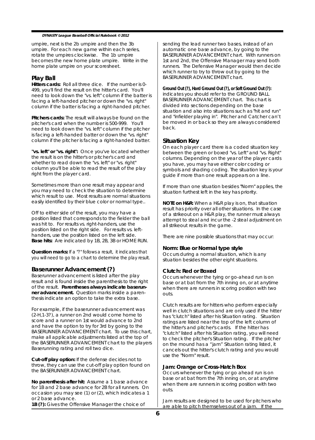umpire, next is the 2b umpire and then the 3b umpire. For each new game within each series, rotate the umpires clockwise. The 1b umpire becomes the new home plate umpire. Write in the home plate umpire on your scoresheet.

#### **Play Ball**

**Hitters cards:** Roll all three dice. If the number is 0- 499, you'll find the result on the hitter's card. You'll need to look down the "vs. left" column if the batter is facing a left-handed pitcher or down the "vs. right" column if the batter is facing a right-handed pitcher.

**Pitchers cards:** The result will always be found on the pitcher's card when the number is 500-999. You'll need to look down the "vs. left" column if the pitcher is facing a left-handed batter or down the "vs. right" column if the pitcher is facing a right-handed batter.

**"vs. left" or "vs. right":** Once you've located whether the result is on the hitter's or pitcher's card and whether to read down the "vs. left" or "vs. right" column you'll be able to read the result of the play right from the player card.

Sometimes more than one result may appear and you may need to check the situation to determine which result to use. Most results are normal situations easily identified by their blue color or normal type..

Off to either side of the result, you may have a position listed that corresponds to the fielder the ball was hit to. For results vs. right-handers, use the position listed on the right side. For results vs. lefthanders, use the position listed on the left side. **Base hits:** Are indicated by 1B, 2B, 3B or HOME RUN.

**Question marks:** If a "?" follows a result, it indicates that you will need to go to a chart to determine the play result.

#### **Baserunner Advancement (?)**

Baserunner advancement is listed after the play result and is found inside the parenthesis to the right of the result. **Parentheses always indicate baserunner advancement.** Question marks inside a parenthesis indicate an option to take the extra base.

For example, if the baserunner advancement was (2-H,1-3?), a runner on 2nd would come home to score and a runner on 1st would advance to 2nd and have the option to try for 3rd by going to the BASERUNNER ADVANCEMENT chart. To use this chart, make all applicable adjustments listed at the top of the BASERUNNER ADVANCEMENT chart to the players Baserunning rating and roll two dice.

**Cut-off play option:** If the defense decides not to throw, they can use the cut-off play option found on the BASERUNNER ADVANCEMENT chart.

**No parenthesis after hit:** Assume a 1 base advance for 1B and 2 base advance for 2B for all runners. On occasion you may see (1) or (2), which indicates a 1 or 2 base advance. **1B (?):** Gives the Offensive Manager the choice of

sending the lead runner two bases, instead of an automatic one base advance, by going to the BASERUNNER ADVANCEMENT chart. With runners on 1st and 2nd, the Offensive Manager may send both runners. The Defensive Manager would then decide which runner to try to throw out by going to the BASERUNNER ADVANCEMENT chart.

**Ground Out (?), Hard Ground Out (?), or Soft Ground Out (?):** indicates you should refer to the GROUND BALL BASERUNNER ADVANCEMENT chart. This chart is divided into sections depending on the base situation and also into situations such as "hit and run" and "infielder playing in". Pitcher and Catcher can't be moved in or back so they are always considered back.

#### **Situation Key**

On each player card there is a coded situation key between the green or boxed "vs. Left" and "vs. Right" columns. Depending on the year of the player cards you have, you may have either color coding or symbols and shading coding. The situation key is your guide if more than one result appears on a line.

If more than one situation besides "Norm" applies, the situation furthest left in the key has priority.

**NOTE on H&R:** When a H&R play is on, that situation result has priority over all other situations. In the case of a strikeout on a H&R play, the runner must always attempt to steal and incur the -2 steal adjustment on all strikeout results in the game.

There are nine possible situations that may occur:

#### **Norm: Blue or Normal type style**

Occurs during a normal situation, which is any situation besides the other eight situations.

#### **Clutch: Red or Boxed**

Occurs whenever the tying or go-ahead run is on base or at bat from the 7th inning on, or at anytime when there are runners in scoring position with two outs.

Clutch results are for hitters who perform especially well in clutch situations and are only used if the hitter has "clutch" listed after his Situation rating. Situation ratings are listed near the top of the left column of the hitter's and pitcher's cards. If the hitter has "clutch" listed after his Situation rating, you will need to check the pitcher's Situation rating. If the pitcher on the mound has a "jam" Situation rating listed, it cancels out the hitter's clutch rating and you would use the "Norm" result.

#### **Jam: Orange or Cross-Hatch Box**

Occurs whenever the tying or go ahead run is on base or at bat from the 7th inning on, or at anytime when there are runners in scoring position with two outs.

Jam results are designed to be used for pitchers who are able to pitch themselves out of a jam. If the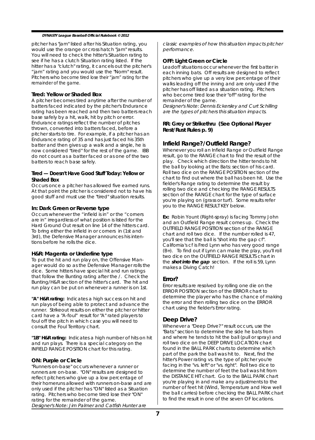pitcher has "jam" listed after his Situation rating, you would use the orange or cross hatch "jam" results. You will need to check the hitter's Situation rating to see if he has a clutch Situation rating listed. If the hitter has a "clutch" rating, it cancels out the pitcher's "jam" rating and you would use the "Norm" result. Pitchers who become tired lose their "jam" rating for the remainder of the game.

#### **Tired: Yellow or Shaded Box**

A pitcher becomes tired anytime after the number of batters faced indicated by the pitcher's Endurance rating has been reached and then two batters reach base safely by a hit, walk, hit by pitch or error. Endurance ratings reflect the number of pitches thrown, converted into batters faced, before a pitcher starts to tire. For example, if a pitcher has an Endurance rating of 35 and has just faced his 35th batter and then gives up a walk and a single, he is now considered "tired" for the rest of the game. IBB do not count as a batter faced or as one of the two batters to reach base safely.

#### **Tired — Doesn't Have Good Stuff Today: Yellow or Shaded Box**

Occurs once a pitcher has allowed five earned runs. At that point the pitcher is considered not to have his good stuff and must use the "tired" situation results.

#### **In: Dark Green or Reverse type**

Occurs whenever the "infield is in" or the "corners are in" irregardless of what position is listed for the Hard Ground Out result on line 14 of the hitters card. To bring either the infield in or corners in (1st and 3rd), the Defensive Manager announces his intentions before he rolls the dice.

#### **H&R: Magenta or Underline type**

To put the hit and run play on, the Offensive Manager would do so as the Defensive Manager rolls the dice. Some hitters have special hit and run ratings that follow the Bunting rating after the /. Check the Bunting/H&R section of the hitter's card. The hit and run play can be put on whenever a runner is on 1st.

**"A" H&R rating:** Indicates a high success on hit and run plays of being able to protect and advance the runner. Strikeout results on either the pitcher or hitter card have a "A-foul" result for "A" rated players to foul off the pitch in which case you will need to consult the Foul Territory chart.

**"1B" H&R rating:** Indicates a high number of hits on hit and run plays. There is a special category on the INFIELD RANGE POSITION chart for this rating.

#### **ON: Purple or Circle**

"Runners on-base" occurs whenever a runner or runners are on-base. "ON" results are designed to reflect pitchers who give up a low percentage of their homeruns allowed with runners on-base and are only used if the pitcher has "ON" listed as a Situation rating. Pitchers who become tired lose their "ON" rating for the remainder of the game. Designer's Note: Jim Palmer and Catfish Hunter are

classic examples of how this situation impacts pitcher performance.

#### **OFF: Light Green or Circle**

Leadoff situations occur whenever the first batter in each inning bats. Off results are designed to reflect pitchers who give up a very low percentage of their walks leading off the inning and are only used if the pitcher has off listed as a situation rating. Pitchers who become tired lose their "off" rating for the remainder of the game.

Designer's Note: Dennis Eckersley and Curt Schilling are the types of pitchers this situation impacts.

#### **RR: Grey or Strikethru (See Optional Player Rest/Rust Rules p. 9)**

#### **Infield Range?/Outfield Range?**

Whenever you roll an Infield Range or Outfield Range result, go to the RANGE chart to find the result of the play. Check which direction the hitter tends to hit the ball by looking at the Bats: section of his card. Roll two dice on the RANGE POSITION section of the chart to find out where the ball has been hit. Use the fielder's Range rating to determine the result by rolling two dice and checking the RANGE RESULTS section of the RANGE chart for the type of surface you're playing on (grass or turf). Some results refer you to the RANGE RESULT KEY below.

**Ex:** Robin Yount (Right-spray) is facing Tommy John and an Outfield Range result comes up. Check the OUTFIELD RANGE POSITION section of the RANGE chart and roll two dice. If the number rolled is 47, you'll see that the ball is "shot into the gap cf". California's cf is Fred Lynn who has very good range  $(B+)$ . To find out if Lynn can make the play, you'll roll two dice on the OUTFIELD RANGE RESULTS chart in the **shot into the gap** section. If the roll is 59, Lynn makes a Diving Catch!

#### **Error?**

Error results are resolved by rolling one die on the ERROR POSITION section of the ERROR chart to determine the player who has the chance of making the error and then rolling two dice on the ERROR chart using the fielder's Error rating.

#### **Deep Drive?**

Whenever a "Deep Drive?" result occurs, use the "Bats:" section to determine the side he bats from and where he tends to hit the ball (pull or spray) and roll two dice on the DEEP DRIVE LOCATION chart found in the BALL PARK charts to determine which part of the park the ball was hit to. Next, find the hitter's Power rating vs. the type of pitcher you're facing in the "vs. left" or "vs. right". Roll two dice to determine the number of feet the ball was hit from the DISTANCE HIT chart. Go to the BALL PARK chart you're playing in and make any adjustments to the number of feet hit (Wind, Temperature and How well the ball carries) before checking the BALL PARK chart to find the result in one of the seven OF locations.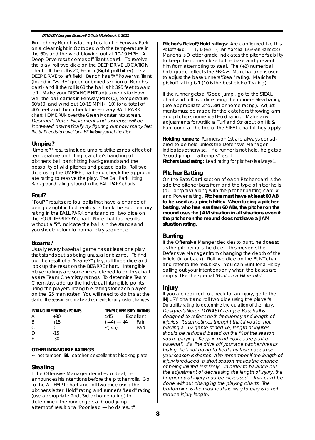**Ex:** Johnny Bench is facing Luis Tiant in Fenway Park on a clear night in October, with the temperature in the 60's and the wind blowing out at 10-19 MPH. A Deep Drive result comes off Tiant's card. To resolve the play, roll two dice on the DEEP DRIVE LOCATION chart. If the roll is 20, Bench (Right-pull hitter) hits a DEEP DRIVE to left field. Bench has "A" Power vs. Tiant (found in "vs. RH" green or boxed section of Bench's card) and if the roll is 68 the ball is hit 395 feet toward left. Make your DISTANCE HIT adjustments for How well the ball carries in Fenway Park (0), temperature 60's (0) and wind out 10-19 MPH (+10) for a total of 405 feet and then check the Fenway BALL PARK chart: HOME RUN over the Green Monster into screen. Designer's Note: Excitement and suspense will be increased dramatically by figuring out how many feet the ball needs to travel for a HR **before** you roll the dice.

#### **Umpire?**

"Umpire?" results include umpire strike zones, effect of temperature on hitting, catcher's handling of pitcher's, ball park hitting backgrounds and the possibility of wild pitches and passed balls. Roll two dice using the UMPIRE chart and check the appropriate rating to resolve the play. The Ball Park Hitting Background rating is found in the BALL PARK charts.

#### **Foul?**

"Foul?" results are foul balls that have a chance of being caught in foul territory. Check the Foul Territory rating in the BALL PARK charts and roll two dice on the FOUL TERRITORY chart. Note that foul results without a "?", indicate the ball is in the stands and you should return to normal play sequence.

#### **Bizarre?**

Usually every baseball game has at least one play that stands out as being unusual or bizarre. To find out the result of a "Bizarre?" play, roll three dice and look up the result on the BIZARRE chart. Intangible player ratings are sometimes referred to on this chart as are Team Chemistry ratings. To determine Team Chemistry, add up the individual Intangible points using the players Intangible ratings for each player on the 25 man roster. You will need to do this at the start of the season and make adjustments for any roster changes.

|   | <b>INTANGIBLE RATING/POINTS</b> | <b>TEAM CHEMISTRY RATING</b> |           |
|---|---------------------------------|------------------------------|-----------|
| А | $+30$                           | >45                          | Excellent |
| B | $+15$                           | $(-44) - 44$                 | Fair      |
| C | Ω                               | $\leq$ (-45)                 | Bad       |
| D | $-15$                           |                              |           |
| F | $-30$                           |                              |           |

#### **OTHER INTANGIBLE RATINGS**

**~** hot temper **BL** catcher is excellent at blocking plate

#### **Stealing**

If the Offensive Manager decides to steal, he announces his intentions before the pitcher rolls. Go to the ATTEMPT chart and roll two dice using the pitcher's letter "Hold" rating and runner's "Lead" rating (use appropriate 2nd, 3rd or home rating) to determine if the runner gets a "Good jump attempts" result or a "Poor lead — holds result".

**Pitcher's Pickoff/Hold ratings:** Are configured like this: Pickoff/Hold: 1 / D (+2) (Juan Marichal 1969 San Francisco) Marichal's D letter grade indicates the pitcher's ability to keep the runner close to the base and prevent him from attempting to steal. The (+2) numerical hold grade reflects the SB% vs. Marichal and is used to adjust the baserunners "Steal" rating. Marichal's pickoff rating is 1 (10 is the best pick off rating).

If the runner gets a "Good jump", go to the STEAL chart and roll two dice using the runner's Steal rating (use appropriate 2nd, 3rd or home rating). Adjustments must be made for the catcher's throwing arm and pitcher's numerical Hold rating. Make any adjustments for Artificial Turf and Strikeout on Hit & Run found at the top of the STEAL chart if they apply.

**Holding runners:** Runners on 1st are always considered to be held unless the Defensive Manager indicates otherwise. If a runner is not held, he gets a "Good jump — attempts" result. **Pitchers Lead rating:** Lead rating for pitchers is always 1.

#### **Pitcher Batting**

On the Bats/Card section of each Pitcher card is the side the pitcher bats from and the type of hitter he is (pull or spray) along with the pitcher batting card  $#$ and Power rating. **Pitchers must have at least 60 AB to be used as a pinch hitter. When facing a pitcher batting, who has less than 60 ABs, the pitcher on the mound uses the JAM situation in all situations even if the pitcher on the mound does not have a JAM situation rating.**

#### **Bunting**

If the Offensive Manger decides to bunt, he does so as the pitcher rolls the dice. This prevents the Defensive Manager from changing the depth of the infield (in or back). Roll two dice on the BUNT chart and refer to the result key. You can Bunt for a Hit by calling out your intentions only when the bases are empty. Use the special "Bunt for a Hit results".

#### **Injury**

If you are required to check for an injury, go to the INJURY chart and roll two dice using the player's Durability rating to determine the duration of the injury. Designer's Note: DYNASTY League Baseball is designed to reflect both frequency and length of injuries. It's sometimes thought that if you're not playing a 162 game schedule, length of injuries should be reduced based on the % of the season you're playing. Keep in mind injuries are part of baseball. If a line drive off your ace pitcher breaks his leg, he's not going to heal any faster because your season is shorter. Also remember if the length of injury is reduced, a short season makes the chance of being injured less likely. In order to balance out the adjustment of decreasing the length of injury, the frequency of injury must be increased. That can't be done without changing the playing charts. The bottom line is the most realistic way to play is to not reduce injury length.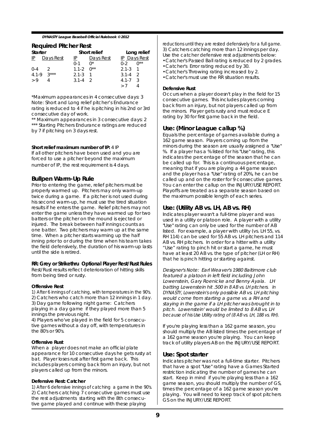#### **Required Pitcher Rest**

| Starter      |              |                    | Short relief |                   | Long relief  |
|--------------|--------------|--------------------|--------------|-------------------|--------------|
|              | IP Days Rest | $\mathbb{P}$       | Days Rest    |                   | IP Days Rest |
|              |              | $0-1$ $0^*$        |              | $0-2$ $0**$       |              |
| $0-4$ 2      |              | $1.1 - 2$ $0^{**}$ |              | $2.1 - 3 \quad 1$ |              |
| 4.1-9 $3***$ |              | $2.1 - 3 \quad 1$  |              | $3.1 - 4 = 2$     |              |
| > 9          |              | $3.1 - 4 = 2$      |              | $4.1 - 7 \quad 3$ |              |
|              |              |                    |              | > 7               |              |

\*Maximum appearances in 4 consecutive days: 3 Note: Short and Long relief pitcher's Endurance rating is reduced to 4 if he is pitching in his 2nd or 3rd consecutive day of work.

\*\* Maximum appearances in 3 consecutive days: 2 \*\*\* Starting Pitchers Endurance ratings are reduced by 7 if pitching on 3 days rest.

#### **Short relief maximum number of IP:** 4 IP

If all other pitchers have been used and you are forced to use a pitcher beyond the maximum number of IP, the rest requirement is 4 days.

#### **Bullpen Warm-Up Rule**

Prior to entering the game, relief pitchers must be properly warmed up. Pitchers may only warm-up twice during a game. If a pitcher is not used during his second warm-up, he must use the tired situation results if he enters the game. Relief pitchers may not enter the game unless they have warmed up for two batters or the pitcher on the mound is ejected or injured. The break between half innings counts as one batter. Two pitchers may warm up at the same time. When a pitcher starts warming up the half inning prior to or during the time when his team takes the field defensively, the duration of his warm-up lasts until the side is retired.

#### **RR: Grey or Strikethru Optional Player Rest/Rust Rules**

Rest/Rust results reflect deterioration of hitting skills from being tired or rusty.

#### **Offensive Rest**

1) After 6 innings of catching, with temperatures in the 90's. 2) Catchers who catch more than 12 innings in 1 day. 3) Day game following night game: Catchers playing in a day game if they played more than 5 innings the previous night.

4) Players who've played in the field for 5 consecutive games without a day off, with temperatures in the 80's or 90's.

#### **Offensive Rust**

When a player does not make an official plate appearance for 10 consecutive days he gets rusty at bat. Player loses rust after first game back. This includes players coming back from an injury, but not players called up from the minors.

#### **Defensive Rest: Catcher**

1) After 6 defensive innings of catching a game in the 90's. 2) Catchers catching  $\overline{7}$  consecutive games must use the rest adjustments starting with the 8th consecutive game played and continue with these playing

reductions until they are rested defensively for a full game. 3) Catchers catching more than 12 innings per day. Use the catcher defensive rest adjustments below: •Catcher's Passed Ball rating is reduced by 2 grades. •Catcher's Error rating reduced by 30. •Catcher's Throwing rating increased by 2.

•Catcher's must use the RR situation results.

#### **Defensive Rust**

Occurs when a player doesn't play in the field for 15 consecutive games. This includes players coming back from an injury, but not players called up from the minors. Player gets rusty and must reduce E rating by 30 for first game back in the field.

#### **Use: (Minor League callup %)**

Equals the percentage of games available during a 162 game season. Players coming up from the minors during the season are usually assigned a "Use" %. If a player has a % listed for his "Use" rating, this indicates the percentage of the season that he can be called up for. This is a continuous percentage, meaning that if you are playing a 44 game season and the player has a "Use" rating of 20%, he can be called up and on the roster for 9 consecutive games. You can enter the callup on the INJURY/USE REPORT. Playoffs are treated as a separate season based on the maximum possible length of each series.

#### **Use: (Utility AB vs. LH, AB vs. RH)**

Indicates player wasn't a full-time player and was used in a utility or platoon role. A player with a utility "Use" rating can only be used for the number of AB listed. For example, a player with utility (vs. LH 55, vs. RH 114) can be used for 55 AB vs. LH pitchers and 114 AB vs. RH pitchers. In order for a hitter with a utility "Use" rating to pinch hit or start a game, he must have at least 20 AB vs. the type of pitcher (LH or RH) that he is pinch hitting or starting against.

Designer's Note: Earl Weaver's 1980 Baltimore club featured a platoon in left field including John Lowenstein, Gary Roenicke and Benny Ayala. LH batting Lowenstein hit .500 in 8 AB vs. LH pitchers. In DYNASTY, Lowenstein's only possible AB vs. LH pitching would come from starting a game vs. a RH and staying in the game if a LH pitcher was brought in to pitch. Lowenstein' would be limited to 8 AB vs. LH because of his Use Utility rating of (8 AB vs. LH, 188 vs. RH).

If you're playing less than a 162 game season, you should multiply the AB listed times the percentage of a 162 game season you're playing. You can keep track of utility players AB on the INJURY/USE REPORT.

#### **Use: Spot starter**

Indicates pitcher was not a full-time starter. Pitchers that have a spot "Use" rating have a Games Started restriction indicating the number of games he can start. Keep in mind if you're playing less than a 162 game season, you should multiply the number of GS, times the percentage of a 162 game season you're playing. You will need to keep track of spot pitchers GS on the INJURY/USE REPORT.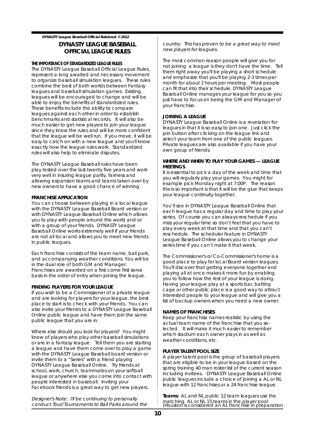#### **DYNASTY LEAGUE BASEBALL OFFICIAL LEAGUE RULES**

#### **THE IMPORTANCE OF STANDARDIZED LEAGUE RULES**

The DYNASTY League Baseball Official League Rules, represent a long awaited and necessary movement to organize baseball simulation leagues. These rules combine the best of both worlds between Fantasy leagues and baseball simulation games. Existing leagues will be encouraged to change and will be able to enjoy the benefits of standardized rules. These benefits include the ability to compare leagues against each other in order to establish benchmarks and statistical records. It will also be much easier to get new players to join your league since they know the rules and will be more confident that the league will be well run. If you move, it will be easy to catch on with a new league and you'll know exactly how the league rules work. Standardized rules will also help to eliminate disputes.

The DYNASTY League Baseball rules have been play tested over the last twenty five years and work very well in insuring league parity, fairness and allowing expansion teams and teams taken over by new owners to have a good chance of winning.

#### **FRANCHISE APPLICATION**

You can choose between playing in a local league with the DYNASTY League Baseball Board version or with DYNASTY League Baseball Online which allows you to play with people around the world and or with a group of your friends. DYNASTY League Baseball Online works extremely well if your friends are not all local and allows you to meet new friends in public leagues.

Each franchise consists of the team name, ball park, and accompanying weather conditions. You will be in the dual role of both GM and Manager. Franchises are awarded on a first come first serve basis in the order of entry when joining the league.

#### **FINDING PLAYERS FOR YOUR LEAGUE**

If you wish to be a Commissioner of a private league and are looking for players for your league, the best place to start is to check with your friends. You can also invite your friends to a DYNASTY League Baseball Online public league and have them join the same public league that you are in.

Where else should you look for players? You might know of players who play other baseball simulations or are in a fantasy league. Tell them you are starting a league and have them come over to play a game with the DYNASTY League Baseball board version or invite them to a "Series" with a friend playing DYNASTY League Baseball Online. Try friends at school, work, church, teammates on your softball league or anywhere else you come into contact with people interested in baseball. Inviting your Facebook friends is a great way to get new players.

Designer's Note: I'll be continuing to personally conduct Tour/Tournaments to Ball Parks around the country. This has proven to be a great way to meet new players for leagues.

The most common reason people will give you for not joining a league is they don't have the time. Tell them right away you'll be playing a short schedule and emphasize that you'll be playing 2-3 times per month for about 2 hours per meeting. Most people can fit that into their schedule. DYNASTY League Baseball Online manages your league for you so you just have to focus on being the GM and Manager of your franchise.

#### **JOINING A LEAGUE**

DYNASTY League Baseball Online is a revelation for leagues in that it is so easy to join one. Just click the join button after clicking on the league link and select your team from one of the public leagues. Private leagues are also available if you have your own group of friends.

#### **WHERE AND WHEN TO PLAY YOUR GAMES — LEAGUE MEETINGS**

It is essential to pick a day of the week and time that you will regularly play your games. You might for example pick Monday night at 7:00P. The reason this is so important is that it will be the glue that keeps your league continuity together.

You'll see in DYNASTY League Baseball Online that each league has a regular day and time to play your series. Of course you can always reschedule if you miss your regular time so don't feel that you have to play every week at that time and that you can't reschedule. The scheduler feature in DYNASTY League Baseball Online allows you to change your series time if you can't make it that week.

The Commissioner's or Co-Commissioner's home is a good place to play for local Board version leagues. You'll discover that getting everyone together and playing all at once makes it more fun by enabling you to follow how the rest of your league is doing. Having your league play at a sports bar, batting cage or other public place is a good way to attract interested people to your league and will give you a list of backup owners when you need a new owner.

#### **NAMES OF FRANCHISES**

Keep your franchise names realistic by using the actual team name of the franchise that you selected. It will make it much easier to remember which stadium each owner plays in as well as weather conditions, etc.

#### **PLAYER TALENT POOL SIZE**

A player talent pool is the group of baseball players that are eligible to be in your league based on the spring training 40 man roster list of the current season including invitees. DYNASTY League Baseball Online public leagues include a choice of joining a AL or NL league with 12 franchises or a 24 franchise league

**Teams:** AL and NL public 12 team leagues use the matching AL or NL 15 teams in the player pool (Houston is considered an AL franchise in preparation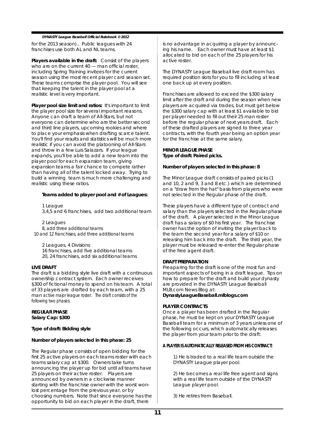for the 2013 season).. Public leagues with 24 franchises use both AL and NL teams.

**Players available in the draft:** Consist of the players who are on the current 40 - man official roster, including Spring Training invitees for the current season using the most recent player card season set. These teams comprise the player pool. You will see that keeping the talent in the player pool at a realistic level is very important.

**Player pool size limit and ratios:** It's important to limit the player pool size for several important reasons. Anyone can draft a team of All-Stars, but not everyone can determine who are the better second and third line players, upcoming rookies and where to place your emphasis when drafting scarce talent. You'll find your results and statistics will be much more realistic if you can avoid the platooning of All-Stars and throw in a few Luis Salazars. If your league expands, you'll be able to add a new team into the player pool for each expansion team, giving expansion teams a fair chance to compete rather than having all of the talent locked away. Trying to build a winning team is much more challenging and realistic using these ratios.

#### **Teams added to player pool and # of Leagues:**

1 League 3,4,5 and 6 franchises, add two additional team

2 Leagues 8, add three additional teams 10 and 12 franchises, add three additional teams

2 Leagues, 4 Divisions 16 franchises, add five additional teams 20, 24 franchises, add six additional teams

#### **LIVE DRAFT**

The draft is a bidding style live draft with a continuous ownership contract system. Each owner receives \$300 of fictional money to spend on his team. A total of 33 players are drafted by each team, with a 25 man active major league roster. The draft consists of the following two phases:

#### **REGULAR PHASE Salary Cap: \$300**

**Type of draft: Bidding style**

#### **Number of players selected in this phase: 25**

The Regular phase consists of open bidding for the first 25 active players on each teams roster with each teams salary cap at \$300. Owners take turns announcing the player up for bid until all teams have 25 players on their active roster. Players are announced by owners in a clockwise manner starting with the franchise owner with the worst wonlost percentage from the previous year, or by choosing numbers. Note that since everyone has the opportunity to bid on each player in the draft, there

is no advantage in acquiring a player by announcing his name. Each owner must have at least \$1 allocated to bid on each of the 25 players for his active roster.

The DYNASTY League Baseball live draft room has required position slots for you to fill including at least one back up at every position.

Franchises are allowed to exceed the \$300 salary limit after the draft and during the season when new players are acquired via trades, but must get below the \$300 salary cap with at least \$1 available to bid per player needed to fill out their 25 man roster before the regular phase of next years draft. Each of these drafted players are signed to three year contracts, with the fourth year being an option year for the franchise at the same salary.

#### **MINOR LEAGUE PHASE Type of draft: Paired picks.**

#### **Number of players selected in this phase: 8**

The Minor League draft consists of paired picks (1 and 10, 2 and 9, 3 and 8 etc.) which are determined on a "draw from the hat" basis from players who were not selected in the Regular phase of the draft.

These players have a different type of contract and salary than the players selected in the Regular phase of the draft. A player selected in the Minor League draft has a salary of \$0 his first year. The franchise owner has the option of inviting the player back to the team the second year for a salary of \$10 or releasing him back into the draft. The third year, the player must be released re-enter the Regular phase of the free agent draft.

#### **DRAFT PREPARATION**

Preaparing for the draft is one of the most fun and important aspects of being in a draft league. Tips on how to prepare for the draft and build your dynasty are provided in the DYNASTY League Baseball MLB.com News Blog at: **DynastyLeagueBaseball.mlblogs.com**

#### **PLAYER CONTRACTS**

Once a player has been drafted in the Regular phase, he must be kept on your DYNASTY League Baseball team for a minimum of 3 years unless one of the following occurs, which automatically releases the player from your team prior to the draft:

#### **A PLAYER IS AUTOMATICALLY RELEASED FROM HIS CONTRACT:**

1) He is traded to a real life team outside the DYNASTY League player pool.

2) He becomes a real life free agent and signs with a real life team outside of the DYNASTY League player pool.

3) He retires from Baseball.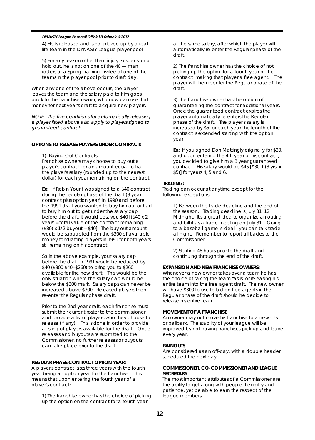4) He is released and is not picked up by a real life team in the DYNASTY League player pool

5) For any reason other than injury, suspension or hold out, he is not on one of the 40 — man rosters or a Spring Training invitee of one of the teams in the player pool prior to draft day.

When any one of the above occurs, the player leaves the team and the salary paid to him goes back to the franchise owner, who now can use that money for next year's draft to acquire new players.

NOTE: The five conditions for automatically releasing a player listed above also apply to players signed to guaranteed contracts.

#### **OPTIONS TO RELEASE PLAYERS UNDER CONTRACT:**

1) Buying Out Contracts:

Franchise owners may choose to buy out a player's contract for an amount equal to half the player's salary (rounded up to the nearest dollar) for each year remaining on the contract.

**Ex:** If Robin Yount was signed to a \$40 contract during the regular phase of the draft (3 year contract plus option year) in 1990 and before the 1991 draft you wanted to buy him out or had to buy him out to get under the salary cap before the draft, it would cost you \$40 [(\$40 x 2 years = total value of the contract remaining  $($80)$  x 1/2 buyout = \$40]. The buy out amount would be subtracted from the \$300 of available money for drafting players in 1991 for both years still remaining on his contract.

So in the above example, your salary cap before the draft in 1991 would be reduced by \$40 (\$300-\$40=\$260) to bring you to \$260 available for the new draft. This would be the only situation where the salary cap would be below the \$300 mark. Salary caps can never be increased above \$300. Released players then re-enter the Regular phase draft.

Prior to the 2nd year draft, each franchise must submit their current roster to the commissioner and provide a list of players who they choose to release (if any). This is done in order to provide a listing of players available for the draft. Once releases and buyouts are submitted to the Commissioner, no further releases or buyouts can take place prior to the draft.

#### **REGULAR PHASE CONTRACT OPTION YEAR:**

A player's contract lasts three years with the fourth year being an option year for the franchise. This means that upon entering the fourth year of a player's contract:

1) The franchise owner has the choice of picking up the option on the contract for a fourth year

at the same salary, after which the player will automatically re-enter the Regular phase of the draft.

2) The franchise owner has the choice of not picking up the option for a fourth year of the contract making that player a free agent. The player will then reenter the Regular phase of the draft.

3) The franchise owner has the option of guaranteeing the contract for additional years. Once the guaranteed contract expires the player automatically re-enters the Regular phase of the draft. The player's salary is increased by \$5 for each year the length of the contract is extended starting with the option year.

**Ex:** If you signed Don Mattingly originally for \$30, and upon entering the 4th year of his contract, you decided to give him a 3 year guaranteed contract. His salary would be \$45 [\$30 + (3 yrs. x \$5)] for years 4, 5 and 6.

#### **TRADING:**

Trading can occur at anytime except for the following exceptions:

> 1) Between the trade deadline and the end of the season. Trading deadline is July 31, 12 Midnight. It's a great idea to organize an outing and bill it as a trade meeting on July 31. Going to a baseball game is ideal - you can talk trade all night. Remember to report all trades to the Commissioner.

2) Starting 48 hours prior to the draft and continuing through the end of the draft.

#### **EXPANSION AND NEW FRANCHISE OWNERS:**

Whenever a new owner takes over a team he has the choice of taking the team "as is" or releasing his entire team into the free agent draft. The new owner will have \$300 to use to bid on free agents in the Regular phase of the draft should he decide to release his entire team.

#### **MOVEMENT OF A FRANCHISE**

An owner may not move his franchise to a new city or ballpark. The stability of your league will be improved by not having franchises pick up and leave every year.

#### **RAINOUTS**

Are considered as an off-day, with a double header scheduled the next day.

#### **COMMISSIONER, CO-COMMISSIONER AND LEAGUE SECRETARY**

The most important attributes of a Commissioner are the ability to get along with people, flexibility and patience, yet be able to earn the respect of the league members.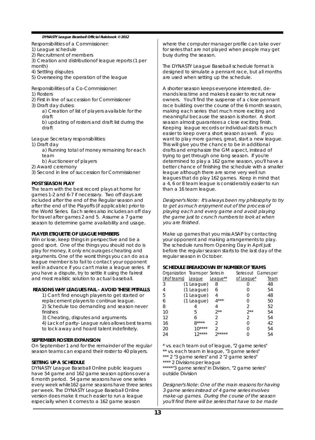Responsibilities of a Commissioner:

1) League schedule

2) Recruitment of members

3) Creation and distributionof league reports (1 per

month)

4) Settling disputes

5) Overseeing the operation of the league

Responsibilities of a Co-Commissioner:

- 1) Rosters
- 2) First in line of succession for Commissioner
- 3) Draft day duties:

a) Creation of list of players available for the draft

b) updating of rosters and draft list during the draft

League Secretary responsibilities:

1) Draft day

a) Running total of money remaining for each team

b) Auctioneer of players

2) Award ceremony

3) Second in line of succession for Commissioner

#### **POST SEASON PLAY**

The team with the best record plays at home for games 1-2 and 6-7 if necessary. Two off days are included after the end of the Regular season and after the end of the Playoffs (if applicable) prior to the World Series. Each series also includes an off day for travel after games 2 and 5. Assume a 7 game season to determine game availability and usage.

#### **PLAYER ETIQUETTE OF LEAGUE MEMBERS**

Win or lose, keep things in perspective and be a good sport. One of the things you should not do is play for money, it only encourages cheating and arguments. One of the worst things you can do as a league member is to fail to contact your opponent well in advance if you can't make a league series. If you have a dispute, try to settle it using the fairest and most realistic solution to actual baseball.

#### **REASONS WHY LEAGUES FAIL - AVOID THESE PITFALLS**

1) Can't find enough players to get started or replacement players to continue league. 2) Schedule too demanding and season never finishes

3) Cheating, disputes and arguments.

4) Lack of parity- League rules allows best teams to lock away and hoard talent indefinitely.

#### **SEPTEMBER ROSTER EXPANSION**

On September 1 and for the remainder of the regular season teams can expand their roster to 40 players.

#### **SETTING UP A SCHEDULE**

DYNASTY League Baseball Online public leagues have 54 game and 162 game season options over a 6 month period. 54 game seasons have one series every week while162 game seasons have three series per week. The DYNASTY League Baseball Online version does make it much easier to run a league especially when it comes to a 162 game season

where the computer manager profile can take over for series that are not played when people may get busy during the season.

The DYNASTY League Baseball schedule format is designed to simulate a pennant race, but all months are used when setting up the schedule.

A shorter season keeps everyone interested, demands less time and makes it easier to recruit new owners. You'll find the suspense of a close pennant race building over the course of the 6 month season, making each series that much more exciting and meaningful because the season is shorter. A short season almost guarantees a close exciting finish. Keeping league records or individual stats is much easier to keep over a short season as well. If you want to play more games, great, start a new league. This will give you the chance to be in additional drafts and emphasize the GM aspect, instead of trying to get through one long season. If you're determined to play a 162 game season, you'll have a better chance of finishing the schedule with a smaller league although there are some very well run leagues that do play 162 games. Keep in mind that a 4, 6 or 8 team league is considerably easier to run than a 16 team league.

Designer's Note: It's always been my philosophy to try to get as much enjoyment out of the process of playing each and every game and avoid playing the game just to crunch numbers to look at when you are finished.

Make up games that you miss ASAP by contacting your opponent and making arrangements to play. The schedule runs from Opening Day in April just before the regular season starts to the last day of the regular season in October.

#### **SCHEDULE BREAKDOWN BY NUMBER OF TEAMS**

| Organization Teams per Series in |            |          |            | Series out Games per |
|----------------------------------|------------|----------|------------|----------------------|
| (# of teams)                     | League     | League** | of League* | Team                 |
| 3                                | (1 League) | 8        |            | 48                   |
| 4                                | (1 League) | 6        |            | 54                   |
| 5                                | (1 League) | 4        |            | 48                   |
| 6                                | (1 League) | $4***$   |            | 50                   |
| 8                                |            |          | 2          | 52                   |
| 10                               | 5          | $2**$    | $2**$      | 54                   |
| 12                               | 6          | 2        | 2          | 54                   |
| 16                               | $R***$     |          |            | 42                   |
| 20                               | $10***$    |          |            | 54                   |
| 24                               | 12****     | *****    |            | 54                   |

\* vs. each team out of league, "2 game series" \*\* vs. each team in league, "3 game series" \*\*\* 2 "3 game series" and 2 "2 game series" \*\*\*\* 2 Divisions per league

\*\*\*\*\*"3 game series" in Division, "2 game series" outside Division

Designer's Note: One of the main reasons for having 3 game series instead of 4 game series involves make-up games. During the course of the season you'll find there will be series that have to be made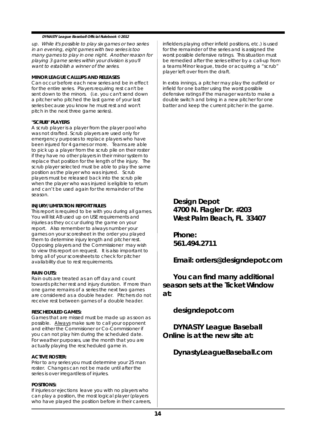up. While it's possible to play six games or two series in an evening, eight games with two series is too many games to play in one night. Another reason for playing 3 game series within your division is you'll want to establish a winner of the series.

#### **MINOR LEAGUE CALLUPS AND RELEASES**

Can occur before each new series and be in effect for the entire series. Players requiring rest can't be sent down to the minors. (i.e. you can't send down a pitcher who pitched the last game of your last series because you know he must rest and won't pitch in the next three game series).

#### **"SCRUB" PLAYERS**

A scrub player is a player from the player pool who was not drafted. Scrub players are used only for emergency purposes to replace players who have been injured for 4 games or more. Teams are able to pick up a player from the scrub pile on their roster if they have no other players in their minor system to replace that position for the length of the injury. The scrub player selected must be able to play the same position as the player who was injured. Scrub players must be released back into the scrub pile when the player who was injured is eligible to return and can't be used again for the remainder of the season.

#### **INJURY/LIMITATION REPORT RULES**

This report is required to be with you during all games. You will list AB used up on USE requirements and injuries as they occur during the game on your report. Also remember to always number your games on your scoresheet in the order you played them to determine injury length and pitcher rest. Opposing players and the Commissioner may wish to view this report on request. It is also important to bring all of your scoresheets to check for pitcher availability due to rest requirements.

#### **RAIN OUTS:**

Rain outs are treated as an off day and count towards pitcher rest and injury duration. If more than one game remains of a series the next two games are considered as a double header. Pitchers do not receive rest between games of a double header.

#### **RESCHEDULED GAMES:**

Games that are missed must be made up as soon as possible. Always make sure to call your opponent and either the Commisioner or Co-Commisioner if you can not play him during the scheduled date. For weather purposes, use the month that you are actually playing the rescheduled game in.

#### **ACTIVE ROSTER:**

Prior to any series you must determine your 25 man roster. Changes can not be made until after the series is over irregardless of injuries.

#### **POSITIONS:**

If injuries or ejections leave you with no players who can play a position, the most logical player (players who have played the position before in their careers, infielders playing other infield positions, etc.) is used for the remainder of the series and is assigned the worst possible defensive ratings. This situation must be remedied after the series either by a call-up from a teams Minor league, trade or acquiring a "scrub" player left over from the draft.

In extra innings, a pitcher may play the outfield or infield for one batter using the worst possible defensive ratings if the manager wants to make a double switch and bring in a new pitcher for one batter and keep the current pitcher in the game.

**Design Depot 4700 N. Flagler Dr. #203 West Palm Beach, FL 33407**

**Phone: 561.494.2711**

**Email: orders@designdepot.com**

**You can find many additional season sets at the Ticket Window at:**

**designdepot.com**

**DYNASTY League Baseball Online is at the new site at:**

**DynastyLeagueBaseball.com**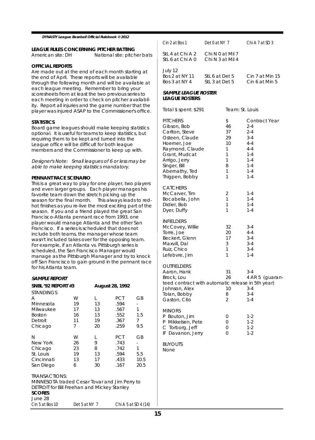# **LEAGUE RULES CONCERNING PITCHER BATTING**

National site: pitcher bats

#### **OFFICIAL REPORTS**

Are made out at the end of each month starting at the end of April. These reports will be available through the following month and will be available at each league meeting. Remember to bring your scoresheets from at least the two previous series to each meeting in order to check on pitcher availability. Report all injuries and the game number that the player was injured ASAP to the Commissioner's office.

#### **STATISTICS**

Board game leagues should make keeping statistics optional. It is useful for teams to keep statistics, but requiring them to be kept and turned into the League office will be difficult for both league members and the Commissioner to keep up with.

Designer's Note: Small leagues of 6 or less may be able to make keeping statistics mandatory.

#### **PENNANT RACE SCENARIO**

This is a great way to play for one player, two players and even larger groups. Each player manages his favorite team down the stretch picking up the season for the final month. This always leads to redhot finishes as you re-live the most exciting part of the season. If you and a friend played the great San Francisco-Atlanta pennant race from 1993, one player would manage Atlanta and the other San Francisco. If a series is scheduled that does not include both teams, the manager whose team wasn't included takes over for the opposing team. For example, if an Atlanta vs. Pittsburgh series is scheduled, the San Francisco Manager would manage as the Pittsburgh Manager and try to knock off San Francisco to gain ground in the pennant race for his Atlanta team.

#### **SAMPLE REPORT**

| SNBL '92 REPORT #3                            |               | August 28, 1992 |                      |      |  |
|-----------------------------------------------|---------------|-----------------|----------------------|------|--|
| <b>STANDINGS</b>                              |               |                 |                      |      |  |
| А                                             | W             | L               | <b>PCT</b>           | GB   |  |
| Minnesota                                     | 19            | 13              | .594                 |      |  |
| Milwaukee                                     | 17            | 13              | .567                 | 1    |  |
| <b>Boston</b>                                 | 16            | 13              | .552                 | 1.5  |  |
| Detroit                                       | 11            | 19              | .367                 | 7    |  |
| Chicago                                       | 7             | 20              | .259                 | 9.5  |  |
| N                                             | W             | L               | <b>PCT</b>           | GB   |  |
| New York                                      | 26            | 9               | .743                 | ٠    |  |
| Chicago                                       | 23            | 8               | .742                 | 1    |  |
| St. Louis                                     | 19            | 13              | .594                 | 5.5  |  |
| Cincinnati                                    | 13            | 17              | .433                 | 10.5 |  |
| San Diego                                     | 6             | 30              | .167                 | 20.5 |  |
| <b>TRANSACTIONS:</b>                          |               |                 |                      |      |  |
| MINNESOTA traded Cesar Tovar and Jim Perry to |               |                 |                      |      |  |
| DETROIT for Bill Freehan and Mickey Stanley   |               |                 |                      |      |  |
| <b>SCORES</b>                                 |               |                 |                      |      |  |
| June 28                                       |               |                 |                      |      |  |
| Cin 5 at Bos 10                               | Det 5 at NY 7 |                 | Chi A 5 at SD 4 (14) |      |  |

| Cin 2 at Bos 1                             | Det 0 at NY 7                        | Chi A 7 at SD 3                      |
|--------------------------------------------|--------------------------------------|--------------------------------------|
| StL 4 at Chi A 2<br>StL 6 at Chi A 0       | Chi N 0 at Mil 7<br>Chi N 3 at Mil 4 |                                      |
| July 12<br>Bos 2 at NY 11<br>Bos 3 at NY 4 | StL 6 at Det 5<br>StL 3 at Det 5     | $C$ in 7 at Min 15<br>Cin 6 at Min 5 |

#### **SAMPLE LEAGUE ROSTER LEAGUE ROSTERS**

| Total \$ spent: \$291                                                                                                                                                                       | Team: St. Louis                                          |                                                                                                                             |
|---------------------------------------------------------------------------------------------------------------------------------------------------------------------------------------------|----------------------------------------------------------|-----------------------------------------------------------------------------------------------------------------------------|
| <b>PITCHERS</b><br>Gibson, Bob<br>Carlton, Steve<br>Osteen, Claude<br>Hoerner, Joe<br>Raymond, Claude<br>Grant, Mudcat<br>Arrigo, Jerry<br>Singer, Bill<br>Abernathy, Ted<br>Thigpen, Bobby | \$<br>46<br>37<br>29<br>10<br>1<br>1<br>1<br>8<br>1<br>1 | Contract Year<br>$2 - 4$<br>$2 - 4$<br>$3 - 4$<br>$4 - 4$<br>$4 - 4$<br>$1 - 4$<br>$1 - 4$<br>$1 - 4$<br>$1 - 4$<br>$1 - 4$ |
| <b>CATCHERS</b><br>McCarver, Tim<br>Bocabella, John<br>Didier, Bob<br>Dyer, Duffy                                                                                                           | 2<br>1<br>1<br>1                                         | 1-4<br>$1 - 4$<br>$1 - 4$<br>$1 - 4$                                                                                        |
| <b>INFIELDERS</b><br>McCovey, Willie<br>Torre, Joe<br>Beckert, Glenn<br>Maxvill, Dal<br>Ruiz, Chico<br>Lefebvre, Jim                                                                        | 32<br>20<br>17<br>3<br>1<br>1                            | $3 - 4$<br>$4 - 4$<br>$3 - 4$<br>$3 - 4$<br>$3 - 4$<br>$1 - 4$                                                              |
| OUTFIELDERS<br>Aaron, Hank<br>Brock, Lou<br>teed contract with automatic release in 5th year)<br>Johnson, Alex<br>Tolan, Bobby<br>Gaston, Cito                                              | 31<br>26<br>10<br>8<br>$\overline{2}$                    | 3-4<br>4 AR 5 (guaran-<br>$3 - 4$<br>$3 - 4$<br>$1 - 4$                                                                     |
| <b>MINORS</b><br>P Bouton, Jim<br>P Mikkelsen, Pete<br>C Torborg, Jeff<br>IF Davanon, Jerry                                                                                                 | 0<br>0<br>0<br>0                                         | $1 - 2$<br>$1 - 2$<br>$1 - 2$<br>$1 - 2$                                                                                    |
| BUYOUTS<br>None                                                                                                                                                                             |                                                          |                                                                                                                             |